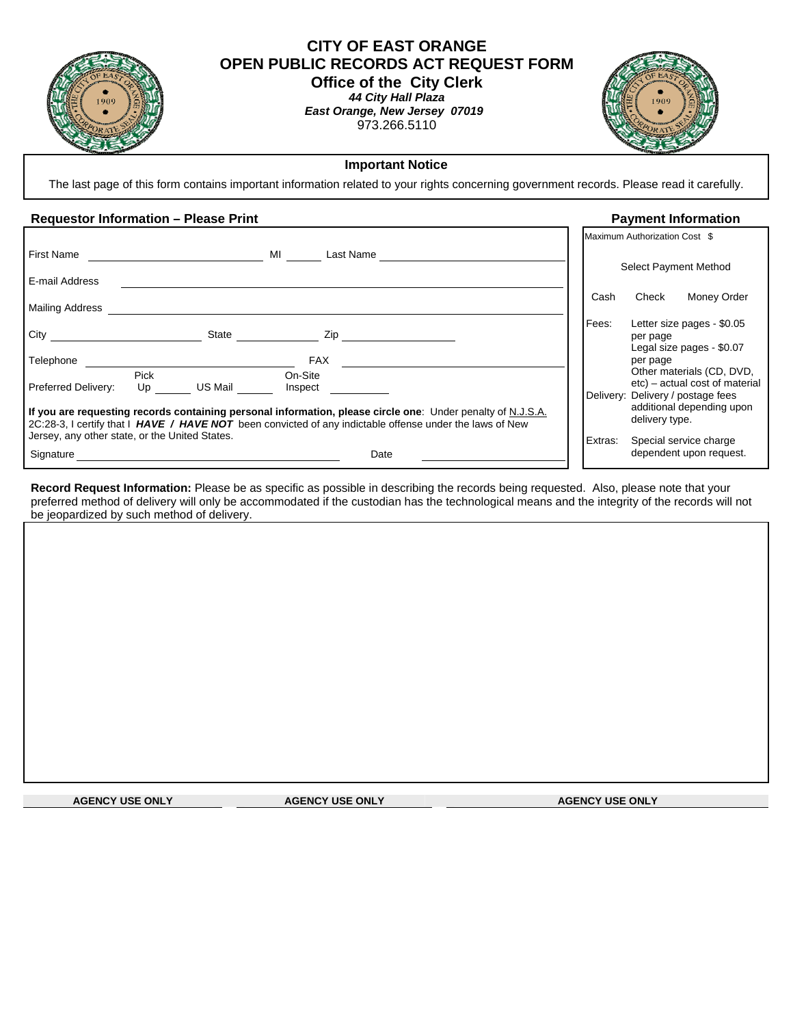

# **CITY OF EAST ORANGE OPEN PUBLIC RECORDS ACT REQUEST FORM** **Office of the City Clerk**

*44 City Hall Plaza East Orange, New Jersey 07019*  973.266.5110



## **Important Notice**

The last page of this form contains important information related to your rights concerning government records. Please read it carefully.

#### Requestor Information – Please Print **Payment Information Payment Information**

|                                                |                   |         |                    |                                                                                                                                                                                                                         |         | Maximum Authorization Cost \$                                       |
|------------------------------------------------|-------------------|---------|--------------------|-------------------------------------------------------------------------------------------------------------------------------------------------------------------------------------------------------------------------|---------|---------------------------------------------------------------------|
| <b>First Name</b>                              |                   |         | MI                 | Last Name                                                                                                                                                                                                               |         | Select Payment Method                                               |
| E-mail Address                                 |                   |         |                    |                                                                                                                                                                                                                         |         |                                                                     |
| <b>Mailing Address</b>                         |                   |         |                    |                                                                                                                                                                                                                         | Cash    | Check<br>Money Order                                                |
| City                                           |                   | State   | Zip                |                                                                                                                                                                                                                         | Fees:   | Letter size pages - \$0.05<br>per page<br>Legal size pages - \$0.07 |
| Telephone                                      |                   |         | <b>FAX</b>         |                                                                                                                                                                                                                         |         | per page<br>Other materials (CD, DVD,                               |
| <b>Preferred Delivery:</b>                     | <b>Pick</b><br>Up | US Mail | On-Site<br>Inspect |                                                                                                                                                                                                                         |         | etc) – actual cost of material<br>Delivery: Delivery / postage fees |
|                                                |                   |         |                    | If you are requesting records containing personal information, please circle one: Under penalty of N.J.S.A.<br>2C:28-3, I certify that I HAVE / HAVE NOT been convicted of any indictable offense under the laws of New |         | additional depending upon<br>delivery type.                         |
| Jersey, any other state, or the United States. |                   |         |                    |                                                                                                                                                                                                                         | Extras: | Special service charge                                              |
| Signature                                      |                   |         |                    | Date                                                                                                                                                                                                                    |         | dependent upon request.                                             |

**Record Request Information:** Please be as specific as possible in describing the records being requested. Also, please note that your preferred method of delivery will only be accommodated if the custodian has the technological means and the integrity of the records will not be jeopardized by such method of delivery.

**AGENCY USE ONLY AGENCY USE ONLY AGENCY USE ONLY AGENCY USE ONLY AGENCY USE ONLY**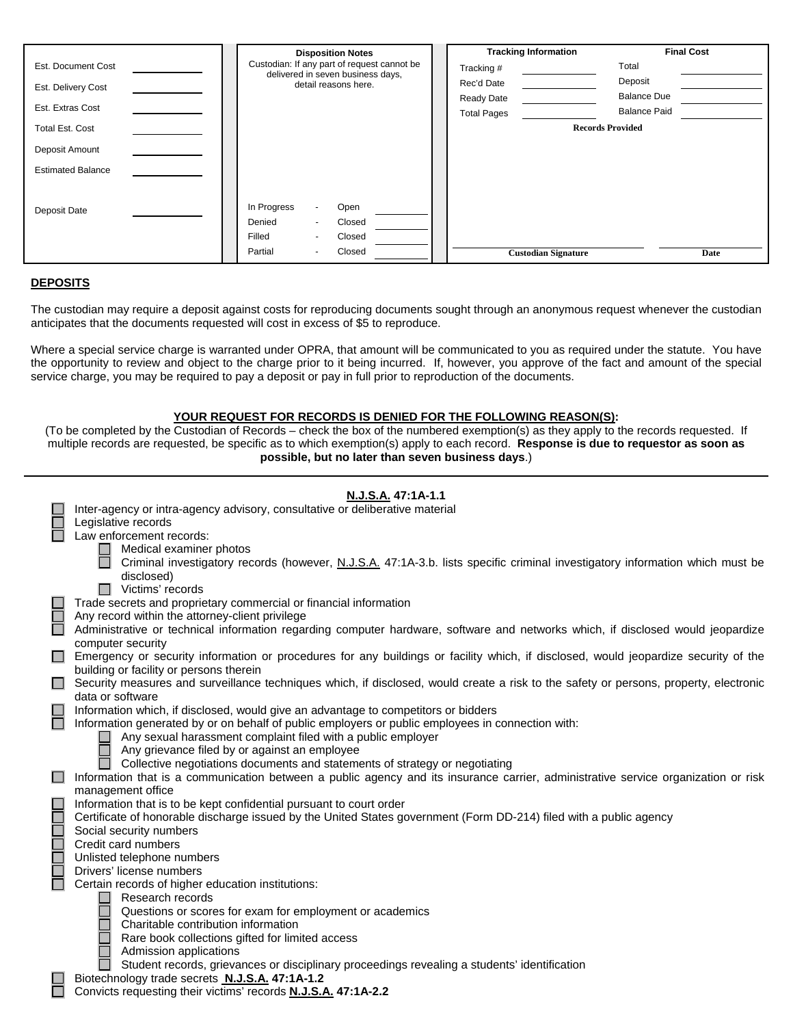|                          | <b>Disposition Notes</b>                                                         |  |                    | <b>Tracking Information</b> | <b>Final Cost</b> |
|--------------------------|----------------------------------------------------------------------------------|--|--------------------|-----------------------------|-------------------|
| Est. Document Cost       | Custodian: If any part of request cannot be<br>delivered in seven business days, |  | Tracking #         | Total                       |                   |
| Est. Delivery Cost       | detail reasons here.                                                             |  | Rec'd Date         | Deposit                     |                   |
|                          |                                                                                  |  | <b>Ready Date</b>  | <b>Balance Due</b>          |                   |
| Est. Extras Cost         |                                                                                  |  | <b>Total Pages</b> | <b>Balance Paid</b>         |                   |
| <b>Total Est. Cost</b>   |                                                                                  |  |                    | <b>Records Provided</b>     |                   |
| Deposit Amount           |                                                                                  |  |                    |                             |                   |
| <b>Estimated Balance</b> |                                                                                  |  |                    |                             |                   |
|                          |                                                                                  |  |                    |                             |                   |
| Deposit Date             | In Progress<br>Open<br>$\sim$                                                    |  |                    |                             |                   |
|                          | Closed<br>Denied<br>$\sim$                                                       |  |                    |                             |                   |
|                          | Filled<br>Closed<br>$\sim$                                                       |  |                    |                             |                   |
|                          | Closed<br>Partial<br>$\sim$                                                      |  |                    | <b>Custodian Signature</b>  | Date              |

### **DEPOSITS**

The custodian may require a deposit against costs for reproducing documents sought through an anonymous request whenever the custodian anticipates that the documents requested will cost in excess of \$5 to reproduce.

Where a special service charge is warranted under OPRA, that amount will be communicated to you as required under the statute. You have the opportunity to review and object to the charge prior to it being incurred. If, however, you approve of the fact and amount of the special service charge, you may be required to pay a deposit or pay in full prior to reproduction of the documents.

### **YOUR REQUEST FOR RECORDS IS DENIED FOR THE FOLLOWING REASON(S):**

(To be completed by the Custodian of Records – check the box of the numbered exemption(s) as they apply to the records requested. If multiple records are requested, be specific as to which exemption(s) apply to each record. **Response is due to requestor as soon as possible, but no later than seven business days**.)

|   | N.J.S.A. 47:1A-1.1                                                                                                                                                                      |
|---|-----------------------------------------------------------------------------------------------------------------------------------------------------------------------------------------|
|   | Inter-agency or intra-agency advisory, consultative or deliberative material                                                                                                            |
|   | Legislative records                                                                                                                                                                     |
|   | Law enforcement records:                                                                                                                                                                |
|   | Medical examiner photos                                                                                                                                                                 |
|   | Criminal investigatory records (however, N.J.S.A. 47:1A-3.b. lists specific criminal investigatory information which must be<br>disclosed)                                              |
|   | Victims' records                                                                                                                                                                        |
|   | Trade secrets and proprietary commercial or financial information                                                                                                                       |
|   | Any record within the attorney-client privilege                                                                                                                                         |
|   | Administrative or technical information regarding computer hardware, software and networks which, if disclosed would jeopardize                                                         |
|   | computer security                                                                                                                                                                       |
| H | Emergency or security information or procedures for any buildings or facility which, if disclosed, would jeopardize security of the                                                     |
|   | building or facility or persons therein                                                                                                                                                 |
|   | Security measures and surveillance techniques which, if disclosed, would create a risk to the safety or persons, property, electronic                                                   |
|   | data or software                                                                                                                                                                        |
|   | Information which, if disclosed, would give an advantage to competitors or bidders<br>Information generated by or on behalf of public employers or public employees in connection with: |
|   | Any sexual harassment complaint filed with a public employer                                                                                                                            |
|   | Any grievance filed by or against an employee                                                                                                                                           |
|   | Collective negotiations documents and statements of strategy or negotiating                                                                                                             |
|   | Information that is a communication between a public agency and its insurance carrier, administrative service organization or risk                                                      |
|   | management office                                                                                                                                                                       |
|   | Information that is to be kept confidential pursuant to court order                                                                                                                     |
|   | Certificate of honorable discharge issued by the United States government (Form DD-214) filed with a public agency                                                                      |
|   | Social security numbers                                                                                                                                                                 |
|   | Credit card numbers                                                                                                                                                                     |
|   | Unlisted telephone numbers                                                                                                                                                              |
|   | Drivers' license numbers<br>Certain records of higher education institutions:                                                                                                           |
|   | Research records                                                                                                                                                                        |
|   | Questions or scores for exam for employment or academics                                                                                                                                |
|   | Charitable contribution information                                                                                                                                                     |
|   | Rare book collections gifted for limited access                                                                                                                                         |
|   | Admission applications                                                                                                                                                                  |
|   | Student records, grievances or disciplinary proceedings revealing a students' identification                                                                                            |
|   | Biotechnology trade secrets N.J.S.A. 47:1A-1.2                                                                                                                                          |
|   | Convicts requesting their victims' records N.J.S.A. 47:1A-2.2                                                                                                                           |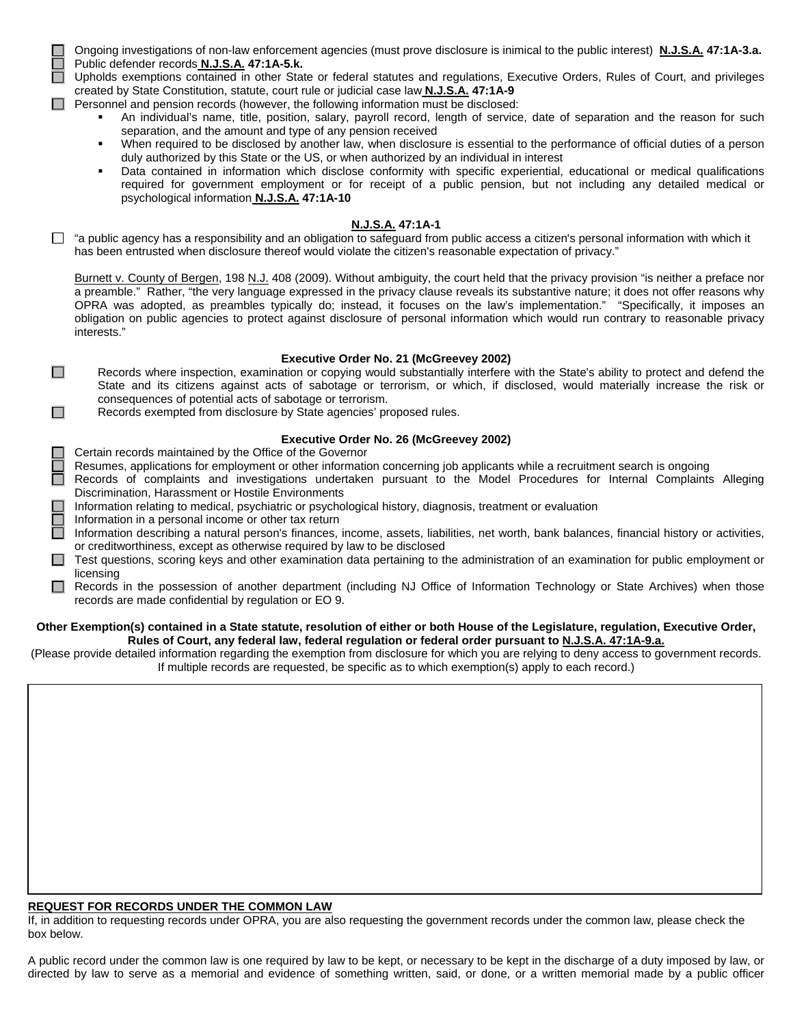Ongoing investigations of non-law enforcement agencies (must prove disclosure is inimical to the public interest) **N.J.S.A. 47:1A-3.a.** Public defender records **N.J.S.A. 47:1A-5.k.**

 Upholds exemptions contained in other State or federal statutes and regulations, Executive Orders, Rules of Court, and privileges created by State Constitution, statute, court rule or judicial case law **N.J.S.A. 47:1A-9**

 $\Box$  Personnel and pension records (however, the following information must be disclosed:

- An individual's name, title, position, salary, payroll record, length of service, date of separation and the reason for such separation, and the amount and type of any pension received
- When required to be disclosed by another law, when disclosure is essential to the performance of official duties of a person duly authorized by this State or the US, or when authorized by an individual in interest
- Data contained in information which disclose conformity with specific experiential, educational or medical qualifications required for government employment or for receipt of a public pension, but not including any detailed medical or psychological information **N.J.S.A. 47:1A-10**

#### **N.J.S.A. 47:1A-1**

 $\Box$  "a public agency has a responsibility and an obligation to safeguard from public access a citizen's personal information with which it has been entrusted when disclosure thereof would violate the citizen's reasonable expectation of privacy."

Burnett v. County of Bergen, 198 N.J. 408 (2009). Without ambiguity, the court held that the privacy provision "is neither a preface nor a preamble." Rather, "the very language expressed in the privacy clause reveals its substantive nature; it does not offer reasons why OPRA was adopted, as preambles typically do; instead, it focuses on the law's implementation." "Specifically, it imposes an obligation on public agencies to protect against disclosure of personal information which would run contrary to reasonable privacy interests."

#### **Executive Order No. 21 (McGreevey 2002)**

 $\Box$  Records where inspection, examination or copying would substantially interfere with the State's ability to protect and defend the State and its citizens against acts of sabotage or terrorism, or which, if disclosed, would materially increase the risk or consequences of potential acts of sabotage or terrorism.

 $\Box$  Records exempted from disclosure by State agencies' proposed rules.

#### **Executive Order No. 26 (McGreevey 2002)**

- Certain records maintained by the Office of the Governor
- Resumes, applications for employment or other information concerning job applicants while a recruitment search is ongoing
- Records of complaints and investigations undertaken pursuant to the Model Procedures for Internal Complaints Alleging Discrimination, Harassment or Hostile Environments
- Information relating to medical, psychiatric or psychological history, diagnosis, treatment or evaluation
- Information in a personal income or other tax return
- Information describing a natural person's finances, income, assets, liabilities, net worth, bank balances, financial history or activities, or creditworthiness, except as otherwise required by law to be disclosed
- $\Box$  Test questions, scoring keys and other examination data pertaining to the administration of an examination for public employment or licensing
- Records in the possession of another department (including NJ Office of Information Technology or State Archives) when those records are made confidential by regulation or EO 9.

#### **Other Exemption(s) contained in a State statute, resolution of either or both House of the Legislature, regulation, Executive Order, Rules of Court, any federal law, federal regulation or federal order pursuant to N.J.S.A. 47:1A-9.a.**

(Please provide detailed information regarding the exemption from disclosure for which you are relying to deny access to government records. If multiple records are requested, be specific as to which exemption(s) apply to each record.)

#### **REQUEST FOR RECORDS UNDER THE COMMON LAW**

If, in addition to requesting records under OPRA, you are also requesting the government records under the common law, please check the box below.

A public record under the common law is one required by law to be kept, or necessary to be kept in the discharge of a duty imposed by law, or directed by law to serve as a memorial and evidence of something written, said, or done, or a written memorial made by a public officer